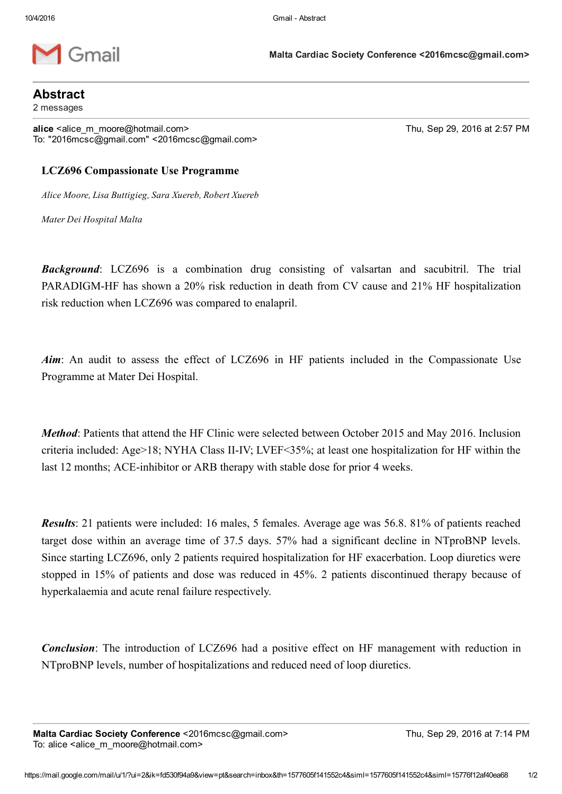

Malta Cardiac Society Conference <2016mcsc@gmail.com>

## Abstract

2 messages

alice <alice\_m\_moore@hotmail.com> Thu, Sep 29, 2016 at 2:57 PM To: "2016mcsc@gmail.com" <2016mcsc@gmail.com>

## LCZ696 Compassionate Use Programme

Alice Moore, Lisa Buttigieg, Sara Xuereb, Robert Xuereb

Mater Dei Hospital Malta

**Background:** LCZ696 is a combination drug consisting of valsartan and sacubitril. The trial PARADIGM-HF has shown a 20% risk reduction in death from CV cause and 21% HF hospitalization risk reduction when LCZ696 was compared to enalapril.

Aim: An audit to assess the effect of LCZ696 in HF patients included in the Compassionate Use Programme at Mater Dei Hospital.

Method: Patients that attend the HF Clinic were selected between October 2015 and May 2016. Inclusion criteria included: Age>18; NYHA Class II-IV; LVEF<35%; at least one hospitalization for HF within the last 12 months; ACE-inhibitor or ARB therapy with stable dose for prior 4 weeks.

Results: 21 patients were included: 16 males, 5 females. Average age was 56.8. 81% of patients reached target dose within an average time of 37.5 days. 57% had a significant decline in NTproBNP levels. Since starting LCZ696, only 2 patients required hospitalization for HF exacerbation. Loop diuretics were stopped in 15% of patients and dose was reduced in 45%. 2 patients discontinued therapy because of hyperkalaemia and acute renal failure respectively.

**Conclusion**: The introduction of LCZ696 had a positive effect on HF management with reduction in NTproBNP levels, number of hospitalizations and reduced need of loop diuretics.

Malta Cardiac Society Conference <2016mcsc@gmail.com> Thu, Sep 29, 2016 at 7:14 PM To: alice <alice\_m\_moore@hotmail.com>